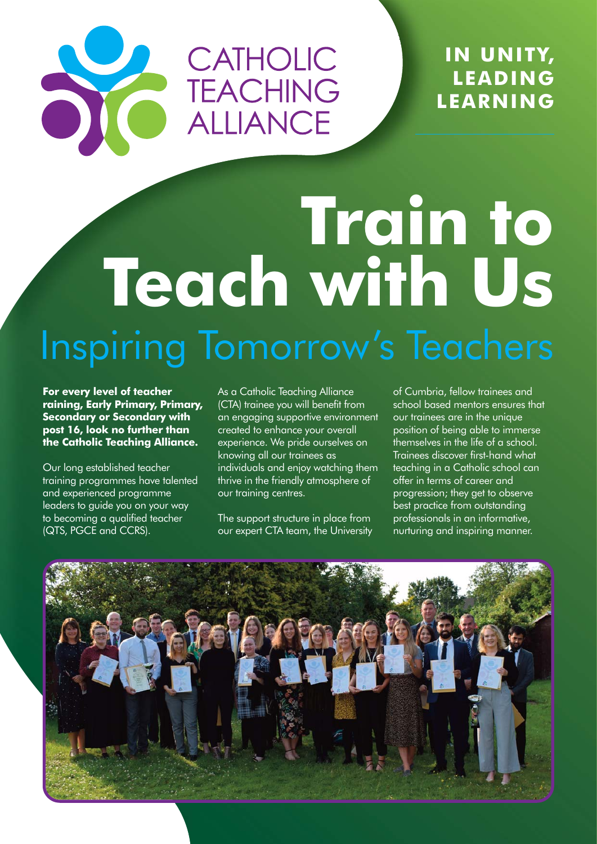#### **IN UNITY, LEADING LEARNING**

# **Train to Teach with Us** Inspiring Tomorrow's Teachers

CATHOLIC

**TEACHING** 

ALLIANCE

**For every level of teacher raining, Early Primary, Primary, Secondary or Secondary with post 16, look no further than the Catholic Teaching Alliance.** 

Our long established teacher training programmes have talented and experienced programme leaders to guide you on your way to becoming a qualified teacher (QTS, PGCE and CCRS).

As a Catholic Teaching Alliance (CTA) trainee you will benefit from an engaging supportive environment created to enhance your overall experience. We pride ourselves on knowing all our trainees as individuals and enjoy watching them thrive in the friendly atmosphere of our training centres.

The support structure in place from our expert CTA team, the University of Cumbria, fellow trainees and school based mentors ensures that our trainees are in the unique position of being able to immerse themselves in the life of a school. Trainees discover first-hand what teaching in a Catholic school can offer in terms of career and progression; they get to observe best practice from outstanding professionals in an informative, nurturing and inspiring manner.

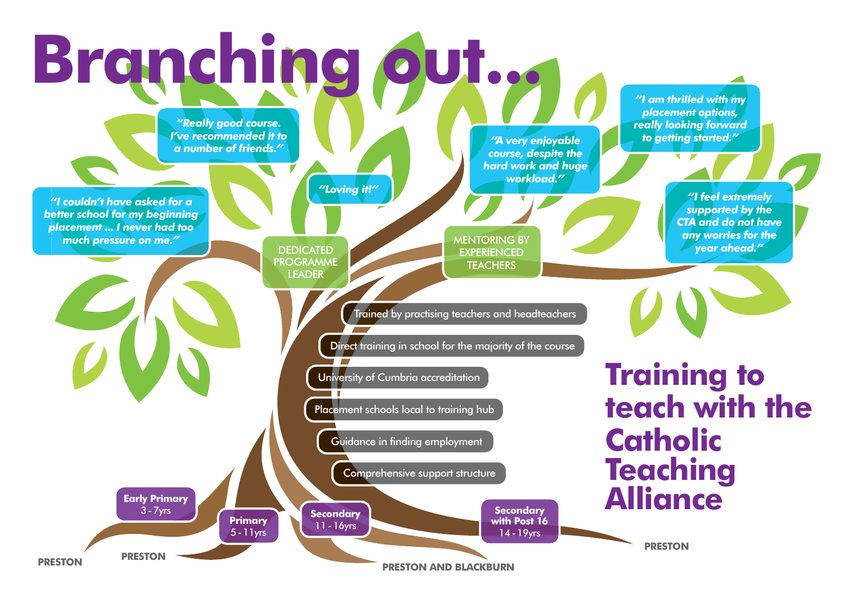# **Branching out...**

## **Training to teach with the Catholic Teaching Alliance**

*"I couldn't have asked for a better school for my beginning placement ... I never had too much pressure on me."*

*"Really good course. I've recommended it to a number of friends." "A very enjoyable*

> **DEDICATED** PROGRAMME LEADER

MENTORING BY **EXPERIENCED TEACHERS** 

*course, despite the hard work and huge workload."*

> *"I feel extremely supported by the CTA and do not have any worries for the year ahead."*



*"I am thrilled with my placement options, really looking forward to getting started."*

*"Loving it!"*

**PRESTON**

**PRESTON AND BLACKBURN**

**PRESTON PRESTON**

**Early Primary** 3-7yrs

**Primary** 5-11yrs **Secondary** 11-16yrs

**Secondary with Post 16** 14-19yrs

Trained by practising teachers and headteachers

Guidance in finding employment

Comprehensive support structure

Direct training in school for the majority of the course

University of Cumbria accreditation

Placement schools local to training hub